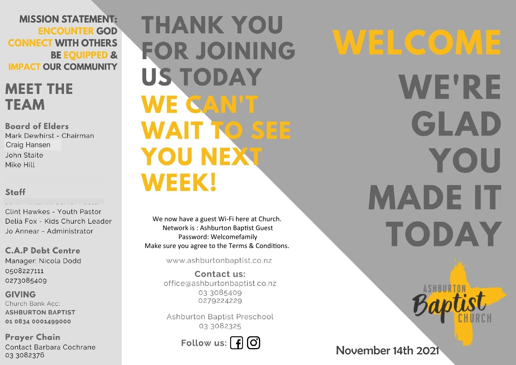**MISSION STATEMENT: ENCOUNTER GOD CONNECT WITH OTHERS BE EQUIPPED & IMPACT OUR COMMUNITY** 

## **MEET THE TEAM**

**Board of Elders** Mark Dewhirst - Chairman **Craig Hansen** John Staite Mike Hill

#### Staff

Clint Hawkes - Youth Pastor Delia Fox - Kids Church Leader Jo Annear - Administrator

**C.A.P Debt Centre** Manager: Nicola Dodd 0508227111 0273085409

**GIVING** Church Bank Acc: **ASHBURTON BAPTIST** 01 0834 0001499000

**Prayer Chain** Contact Barbara Cochrane 03 3082376

# **THANK YOU FOR JOINING US TODAY** WE CAN'T **WAIT TO SEE YOU NEXT WEEK!**

We now have a guest Wi-Fi here at Church. Network is: Ashburton Baptist Guest Password: Welcomefamily Make sure you agree to the Terms & Conditions.

www.ashburtonbaptist.co.nz

Contact us: office@ashburtonbaptist.co.nz 03 3085409 0279224229

Ashburton Baptist Preschool 03 3082325

Follow us:  $\int f(x)$ 

WELCOME **WE'RE** GLAD YOU **MADE IT** TODAY

## November 14th 2021